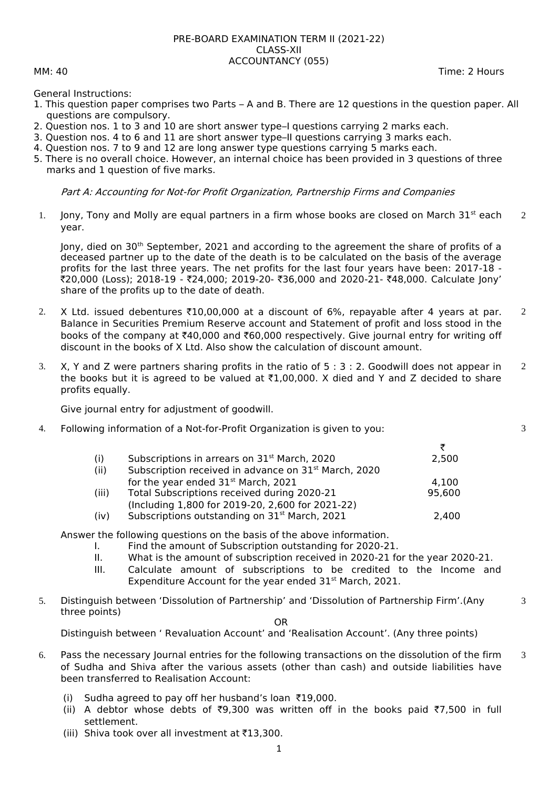## PRE-BOARD EXAMINATION TERM II (2021-22) CLASS-XII ACCOUNTANCY (055)

General Instructions:

- 1. This question paper comprises two Parts A and B. There are 12 questions in the question paper. All questions are compulsory.
- 2. Question nos. 1 to 3 and 10 are short answer type–I questions carrying 2 marks each.
- 3. Question nos. 4 to 6 and 11 are short answer type–II questions carrying 3 marks each.
- 4. Question nos. 7 to 9 and 12 are long answer type questions carrying 5 marks each.
- 5. There is no overall choice. However, an internal choice has been provided in 3 questions of three marks and 1 question of five marks.

## Part A: Accounting for Not-for Profit Organization, Partnership Firms and Companies

1. Jony, Tony and Molly are equal partners in a firm whose books are closed on March  $31^{st}$  each year. 2

Jony, died on 30<sup>th</sup> September, 2021 and according to the agreement the share of profits of a deceased partner up to the date of the death is to be calculated on the basis of the average profits for the last three years. The net profits for the last four years have been: 2017-18 - `20,000 (Loss); 2018-19 - `24,000; 2019-20- `36,000 and 2020-21- `48,000. Calculate Jony' share of the profits up to the date of death.

- 2. X Ltd. issued debentures  $\text{\textsterling}10,00,000$  at a discount of 6%, repayable after 4 years at par. Balance in Securities Premium Reserve account and Statement of profit and loss stood in the books of the company at  $\text{\texttt{F40,000}}$  and  $\text{\texttt{F60,000}}$  respectively. Give journal entry for writing off discount in the books of X Ltd. Also show the calculation of discount amount.  $\overline{2}$
- 3. X, Y and Z were partners sharing profits in the ratio of 5 : 3 : 2. Goodwill does not appear in the books but it is agreed to be valued at  $\overline{1,00,000}$ . X died and Y and Z decided to share profits equally. 2

Give journal entry for adjustment of goodwill.

4. Following information of a Not-for-Profit Organization is given to you:

 $\frac{3}{2,500}$ (i) Subscriptions in arrears on  $31<sup>st</sup>$  March, 2020 (ii) Subscription received in advance on  $31<sup>st</sup>$  March, 2020 for the year ended  $31<sup>st</sup>$  March, 2021  $4,100$ (iii) Total Subscriptions received during 2020-21 95,600 (Including 1,800 for 2019-20, 2,600 for 2021-22) (iv) Subscriptions outstanding on  $31<sup>st</sup>$  March, 2021 2,400

Answer the following questions on the basis of the above information.

- I. Find the amount of Subscription outstanding for 2020-21.
- II. What is the amount of subscription received in 2020-21 for the year 2020-21.
- III. Calculate amount of subscriptions to be credited to the Income and Expenditure Account for the year ended 31st March, 2021.
- 5. Distinguish between 'Dissolution of Partnership' and 'Dissolution of Partnership Firm'.(Any three points)

OR

Distinguish between ' Revaluation Account' and 'Realisation Account'. (Any three points)

- 6. Pass the necessary Journal entries for the following transactions on the dissolution of the firm of Sudha and Shiva after the various assets (other than cash) and outside liabilities have been transferred to Realisation Account: 3
	- (i) Sudha agreed to pay off her husband's loan  $\overline{19,000}$ .
	- (ii) A debtor whose debts of  $\overline{59,300}$  was written off in the books paid  $\overline{57,500}$  in full settlement.
	- (iii) Shiva took over all investment at  $\bar{\tau}$ 13,300.

MM: 40 Time: 2 Hours

3

3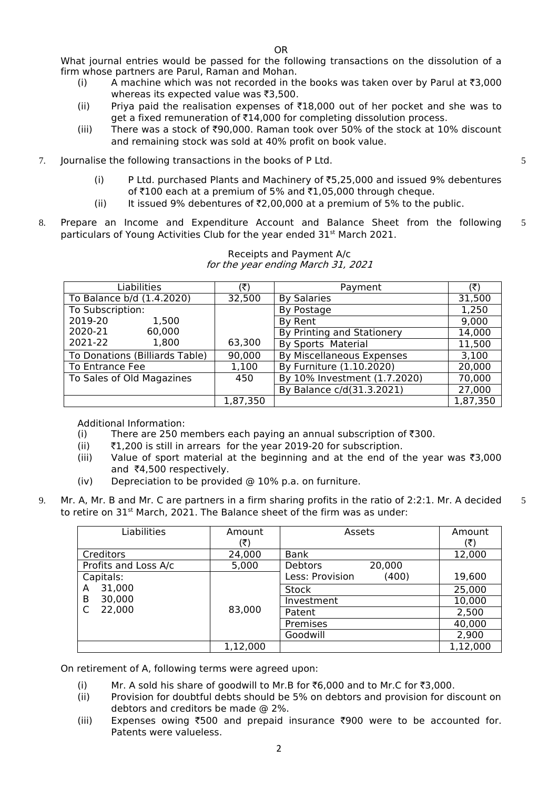OR

What iournal entries would be passed for the following transactions on the dissolution of a firm whose partners are Parul, Raman and Mohan.

- (i) A machine which was not recorded in the books was taken over by Parul at  $\bar{z}3,000$ whereas its expected value was  $\bar{\tau}$ 3,500.
- (ii) Priya paid the realisation expenses of  $\bar{\tau}18,000$  out of her pocket and she was to get a fixed remuneration of  $\bar{z}14,000$  for completing dissolution process.
- (iii) There was a stock of  $\overline{500,000}$ . Raman took over 50% of the stock at 10% discount and remaining stock was sold at 40% profit on book value.
- 7. Journalise the following transactions in the books of P Ltd.
	- (i) P Ltd. purchased Plants and Machinery of  $\overline{5}$ ,25,000 and issued 9% debentures of  $\texttt{7100}$  each at a premium of 5% and  $\texttt{71.05.000}$  through cheque.

5

- (ii) It issued 9% debentures of  $\overline{z}$ ,00,000 at a premium of 5% to the public.
- 8. Prepare an Income and Expenditure Account and Balance Sheet from the following particulars of Young Activities Club for the year ended 31<sup>st</sup> March 2021. 5

| Liabilities                    | (₹)      | Payment                      | (₹)      |
|--------------------------------|----------|------------------------------|----------|
| To Balance b/d (1.4.2020)      | 32,500   | <b>By Salaries</b>           | 31,500   |
| To Subscription:               |          | By Postage                   | 1,250    |
| 2019-20<br>1,500               |          | By Rent                      | 9,000    |
| 2020-21<br>60,000              |          | By Printing and Stationery   | 14,000   |
| 2021-22<br>1,800               | 63,300   | <b>By Sports Material</b>    | 11,500   |
| To Donations (Billiards Table) | 90,000   | By Miscellaneous Expenses    | 3,100    |
| To Entrance Fee                | 1,100    | By Furniture (1.10.2020)     | 20,000   |
| To Sales of Old Magazines      | 450      | By 10% Investment (1.7.2020) | 70,000   |
|                                |          | By Balance c/d(31.3.2021)    | 27,000   |
|                                | 1,87,350 |                              | 1,87,350 |

## Receipts and Payment A/c for the year ending March 31, 2021

Additional Information:

- (i) There are 250 members each paying an annual subscription of  $\overline{3}300$ .
- (ii)  $\bar{\tau}1,200$  is still in arrears for the year 2019-20 for subscription.
- (iii) Value of sport material at the beginning and at the end of the year was  $\overline{3}3,000$ and  $*4,500$  respectively.
- (iv) Depreciation to be provided @ 10% p.a. on furniture.
- 9. Mr. A, Mr. B and Mr. C are partners in a firm sharing profits in the ratio of 2:2:1. Mr. A decided to retire on 31<sup>st</sup> March, 2021. The Balance sheet of the firm was as under: 5

| Liabilities          | Amount   | Assets                   | Amount   |
|----------------------|----------|--------------------------|----------|
|                      | (₹)      |                          | (₹)      |
| Creditors            | 24,000   | Bank                     | 12,000   |
| Profits and Loss A/c | 5,000    | <b>Debtors</b><br>20,000 |          |
| Capitals:            |          | Less: Provision<br>(400) | 19,600   |
| 31,000<br>A          |          | Stock                    | 25,000   |
| 30,000<br>B          |          | Investment               | 10,000   |
| 22,000               | 83,000   | Patent                   | 2,500    |
|                      |          | Premises                 | 40,000   |
|                      |          | Goodwill                 | 2,900    |
|                      | 1,12,000 |                          | 1,12,000 |

On retirement of A, following terms were agreed upon:

- (i) Mr. A sold his share of goodwill to Mr.B for  $\overline{6}$ ,000 and to Mr.C for  $\overline{6}$ ,000.
- (ii) Provision for doubtful debts should be 5% on debtors and provision for discount on debtors and creditors be made @ 2%.
- $(iii)$  Expenses owing ₹500 and prepaid insurance ₹900 were to be accounted for. Patents were valueless.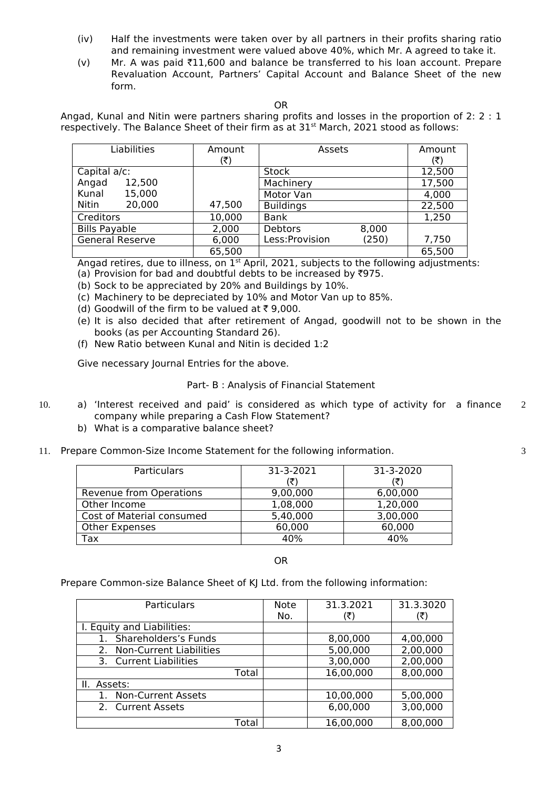- (iv) Half the investments were taken over by all partners in their profits sharing ratio and remaining investment were valued above 40%, which Mr. A agreed to take it.
- (v) Mr. A was paid  $\text{\textsterling}11,600$  and balance be transferred to his loan account. Prepare Revaluation Account, Partners' Capital Account and Balance Sheet of the new form.

Angad, Kunal and Nitin were partners sharing profits and losses in the proportion of 2: 2 : 1 respectively. The Balance Sheet of their firm as at  $31^{st}$  March, 2021 stood as follows:

| Liabilities            | Amount | Assets                   | Amount |
|------------------------|--------|--------------------------|--------|
|                        | (₹)    |                          | (₹)    |
| Capital a/c:           |        | <b>Stock</b>             | 12,500 |
| 12,500<br>Angad        |        | Machinery                | 17,500 |
| 15,000<br>Kunal        |        | Motor Van                | 4,000  |
| 20,000<br>Nitin        | 47,500 | <b>Buildings</b>         | 22,500 |
| Creditors              | 10,000 | Bank                     | 1,250  |
| <b>Bills Payable</b>   | 2,000  | Debtors<br>8,000         |        |
| <b>General Reserve</b> | 6,000  | Less: Provision<br>(250) | 7,750  |
|                        | 65,500 |                          | 65,500 |

Angad retires, due to illness, on  $1<sup>st</sup>$  April, 2021, subjects to the following adjustments: (a) Provision for bad and doubtful debts to be increased by  $\overline{3}975$ .

- (b) Sock to be appreciated by 20% and Buildings by 10%.
- (c) Machinery to be depreciated by 10% and Motor Van up to 85%.
- (d) Goodwill of the firm to be valued at  $\overline{\tau}$  9,000.
- (e) It is also decided that after retirement of Angad, goodwill not to be shown in the books (as per Accounting Standard 26).
- (f) New Ratio between Kunal and Nitin is decided 1:2

Give necessary Journal Entries for the above.

## Part- B : Analysis of Financial Statement

- 10. a) 'Interest received and paid' is considered as which type of activity for a finance company while preparing a Cash Flow Statement? 2
	- b) What is a comparative balance sheet?
- 11. Prepare Common-Size Income Statement for the following information.

| <b>Particulars</b>        | 31-3-2021 | 31-3-2020 |
|---------------------------|-----------|-----------|
|                           | (₹)       |           |
| Revenue from Operations   | 9,00,000  | 6,00,000  |
| Other Income              | 1,08,000  | 1,20,000  |
| Cost of Material consumed | 5,40,000  | 3,00,000  |
| <b>Other Expenses</b>     | 60,000    | 60,000    |
| Гах                       | 40%       | 40%       |

OR

Prepare Common-size Balance Sheet of KJ Ltd. from the following information:

| Particulars                          |       | <b>Note</b><br>No. | 31.3.2021<br>(₹) | 31.3.3020<br>(₹) |
|--------------------------------------|-------|--------------------|------------------|------------------|
| I. Equity and Liabilities:           |       |                    |                  |                  |
| Shareholders's Funds                 |       |                    | 8,00,000         | 4,00,000         |
| <b>Non-Current Liabilities</b><br>2. |       |                    | 5,00,000         | 2,00,000         |
| 3. Current Liabilities               |       |                    | 3,00,000         | 2,00,000         |
|                                      | Total |                    | 16,00,000        | 8,00,000         |
| II. Assets:                          |       |                    |                  |                  |
| <b>Non-Current Assets</b>            |       |                    | 10,00,000        | 5,00,000         |
| 2. Current Assets                    |       |                    | 6,00,000         | 3,00,000         |
|                                      | Total |                    | 16,00,000        | 8,00,000         |